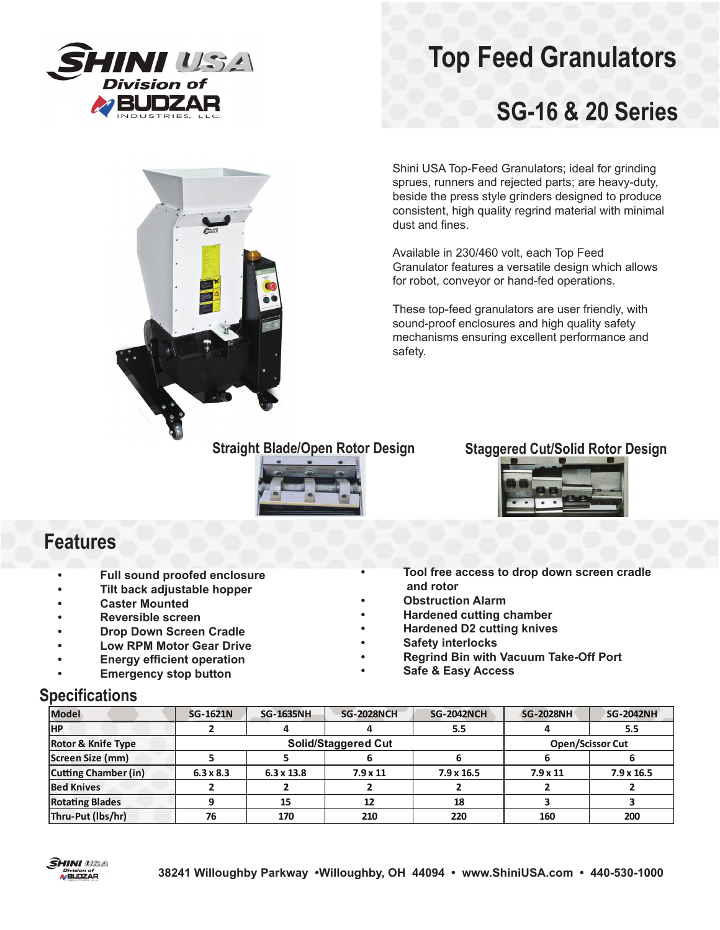

# **Top Feed Granulators**

## **SG-16 & 20 Series**



Shini USA Top-Feed Granulators; ideal for grinding sprues, runners and rejected parts; are heavy-duty, beside the press style grinders designed to produce consistent, high quality regrind material with minimal dust and fines.

Available in 230/460 volt, each Top Feed Granulator features a versatile design which allows for robot, conveyor or hand-fed operations.

These top-feed granulators are user friendly, with sound-proof enclosures and high quality safety mechanisms ensuring excellent performance and safety.



#### **Straight Blade/Open Rotor Design Staggered Cut/Solid Rotor Design**



### **Features**

- **Full sound proofed enclosure**
- **Tilt back adjustable hopper**
- **Caster Mounted**
- **Reversible screen**
- **Drop Down Screen Cradle**
- **Low RPM Motor Gear Drive**
- **Energy efficient operation**
- **Emergency stop button**

**• Tool free access to drop down screen cradle and rotor**

- **Obstruction Alarm**
- **Hardened cutting chamber**
- **Hardened D2 cutting knives**
- **Safety interlocks**
- **Regrind Bin with Vacuum Take-Off Port**
- **Safe & Easy Access**

### **Specifications**

| <b>Model</b>                  | <b>SG-1621N</b>  | <b>SG-1635NH</b>           | <b>SG-2028NCH</b>       | <b>SG-2042NCH</b> | <b>SG-2028NH</b> | <b>SG-2042NH</b>  |
|-------------------------------|------------------|----------------------------|-------------------------|-------------------|------------------|-------------------|
| <b>HP</b>                     |                  |                            |                         | 5.5               |                  | 5.5               |
| <b>Rotor &amp; Knife Type</b> |                  | <b>Solid/Staggered Cut</b> | <b>Open/Scissor Cut</b> |                   |                  |                   |
| Screen Size (mm)              |                  |                            |                         |                   |                  |                   |
| <b>Cutting Chamber (in)</b>   | $6.3 \times 8.3$ | $6.3 \times 13.8$          | $7.9 \times 11$         | $7.9 \times 16.5$ | $7.9 \times 11$  | $7.9 \times 16.5$ |
| <b>Bed Knives</b>             |                  |                            |                         |                   |                  |                   |
| <b>Rotating Blades</b>        |                  | 15                         | 12                      | 18                |                  |                   |
| Thru-Put (lbs/hr)             | 76               | 170                        | 210                     | 220               | 160              | 200               |